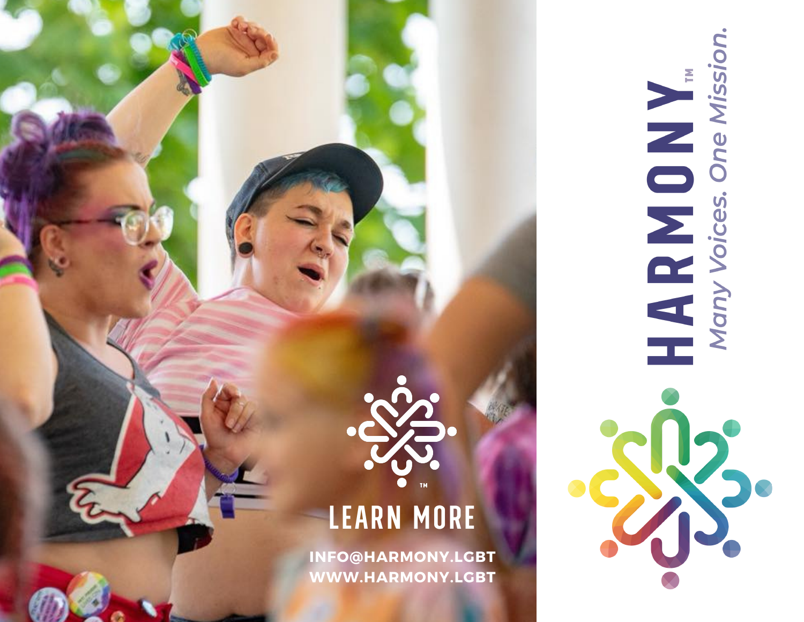

HARMON UNITY Voices. One Mission.

## LEARN MORE

**INFO@HARMONY.LGBT WWW.HARMONY.LGBT**